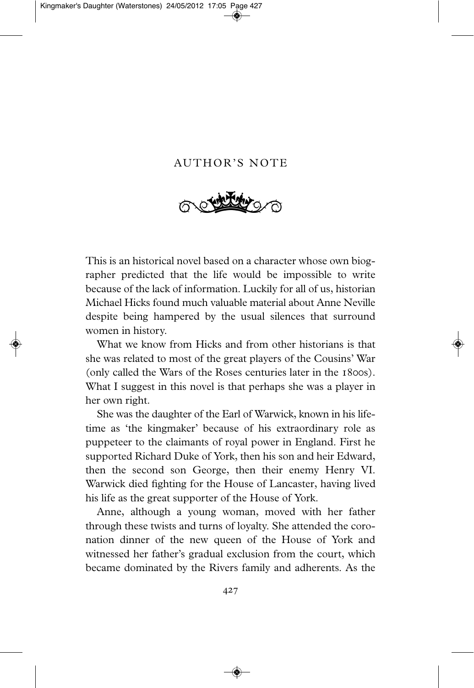## AUTHOR'S NOTE



This is an historical novel based on a character whose own biographer predicted that the life would be impossible to write because of the lack of information. Luckily for all of us, historian Michael Hicks found much valuable material about Anne Neville despite being hampered by the usual silences that surround women in history.

What we know from Hicks and from other historians is that she was related to most of the great players of the Cousins' War (only called the Wars of the Roses centuries later in the 1800s). What I suggest in this novel is that perhaps she was a player in her own right.

She was the daughter of the Earl of Warwick, known in his lifetime as 'the kingmaker' because of his extraordinary role as puppeteer to the claimants of royal power in England. First he supported Richard Duke of York, then his son and heir Edward, then the second son George, then their enemy Henry VI. Warwick died fighting for the House of Lancaster, having lived his life as the great supporter of the House of York.

Anne, although a young woman, moved with her father through these twists and turns of loyalty. She attended the coronation dinner of the new queen of the House of York and witnessed her father's gradual exclusion from the court, which became dominated by the Rivers family and adherents. As the

427